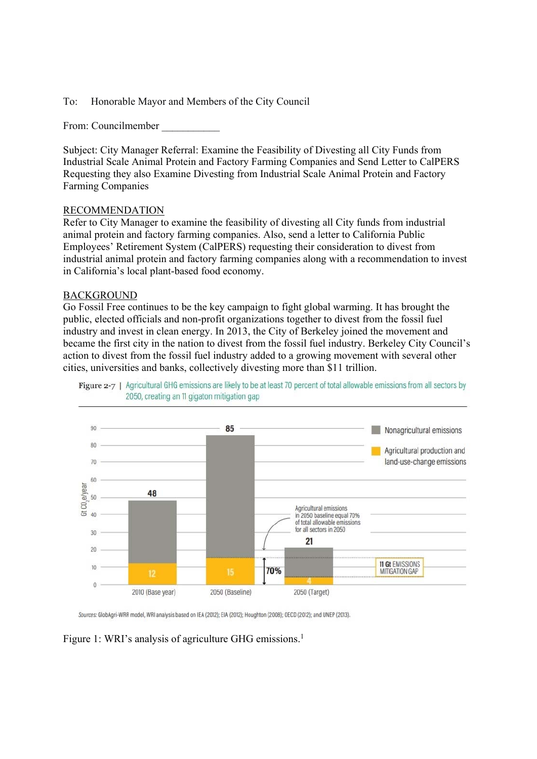To: Honorable Mayor and Members of the City Council

From: Councilmember \_\_\_\_\_\_\_\_\_\_\_

Subject: City Manager Referral: Examine the Feasibility of Divesting all City Funds from Industrial Scale Animal Protein and Factory Farming Companies and Send Letter to CalPERS Requesting they also Examine Divesting from Industrial Scale Animal Protein and Factory Farming Companies

#### RECOMMENDATION

Refer to City Manager to examine the feasibility of divesting all City funds from industrial animal protein and factory farming companies. Also, send a letter to California Public Employees' Retirement System (CalPERS) requesting their consideration to divest from industrial animal protein and factory farming companies along with a recommendation to invest in California's local plant-based food economy.

#### BACKGROUND

Go Fossil Free continues to be the key campaign to fight global warming. It has brought the public, elected officials and non-profit organizations together to divest from the fossil fuel industry and invest in clean energy. In 2013, the City of Berkeley joined the movement and became the first city in the nation to divest from the fossil fuel industry. Berkeley City Council's action to divest from the fossil fuel industry added to a growing movement with several other cities, universities and banks, collectively divesting more than \$11 trillion.





Sources: GlobAgri-WRR model, WRI analysis based on IEA (2012); EIA (2012); Houghton (2008); OECD (2012); and UNEP (2013).

Figure 1: WRI's analysis of agriculture GHG emissions.<sup>1</sup>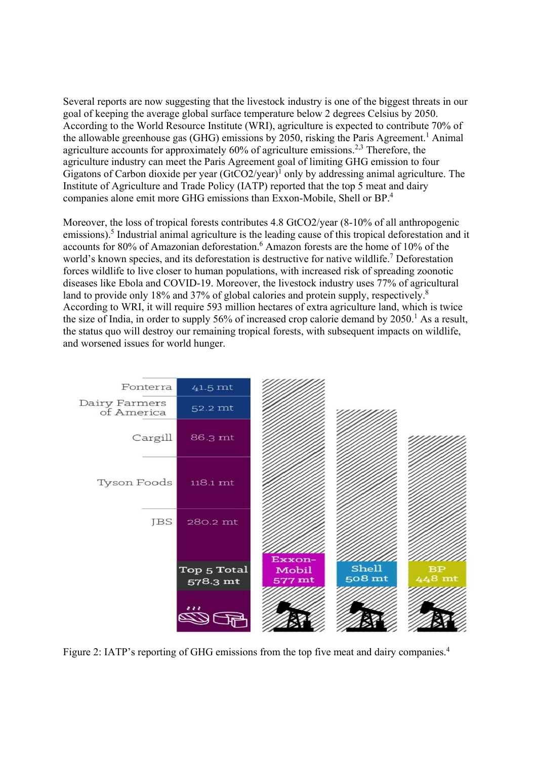Several reports are now suggesting that the livestock industry is one of the biggest threats in our goal of keeping the average global surface temperature below 2 degrees Celsius by 2050. According to the World Resource Institute (WRI), agriculture is expected to contribute 70% of the allowable greenhouse gas (GHG) emissions by 2050, risking the Paris Agreement.<sup>1</sup> Animal agriculture accounts for approximately  $60\%$  of agriculture emissions.<sup>2,3</sup> Therefore, the agriculture industry can meet the Paris Agreement goal of limiting GHG emission to four Gigatons of Carbon dioxide per year  $(GtCO2/year)^1$  only by addressing animal agriculture. The Institute of Agriculture and Trade Policy (IATP) reported that the top 5 meat and dairy companies alone emit more GHG emissions than Exxon-Mobile, Shell or BP.<sup>4</sup>

Moreover, the loss of tropical forests contributes 4.8 GtCO2/year (8-10% of all anthropogenic emissions).<sup>5</sup> Industrial animal agriculture is the leading cause of this tropical deforestation and it accounts for 80% of Amazonian deforestation.<sup>6</sup> Amazon forests are the home of 10% of the world's known species, and its deforestation is destructive for native wildlife.<sup>7</sup> Deforestation forces wildlife to live closer to human populations, with increased risk of spreading zoonotic diseases like Ebola and COVID-19. Moreover, the livestock industry uses 77% of agricultural land to provide only 18% and 37% of global calories and protein supply, respectively.<sup>8</sup> According to WRI, it will require 593 million hectares of extra agriculture land, which is twice the size of India, in order to supply 56% of increased crop calorie demand by  $2050$ .<sup>1</sup> As a result, the status quo will destroy our remaining tropical forests, with subsequent impacts on wildlife, and worsened issues for world hunger.



Figure 2: IATP's reporting of GHG emissions from the top five meat and dairy companies.<sup>4</sup>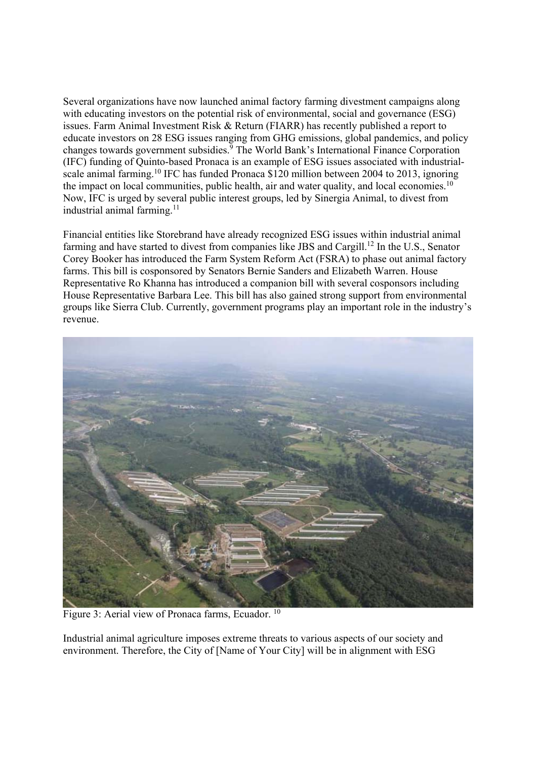Several organizations have now launched animal factory farming divestment campaigns along with educating investors on the potential risk of environmental, social and governance (ESG) issues. Farm Animal Investment Risk & Return (FIARR) has recently published a report to educate investors on 28 ESG issues ranging from GHG emissions, global pandemics, and policy changes towards government subsidies.<sup>9</sup> The World Bank's International Finance Corporation (IFC) funding of Quinto-based Pronaca is an example of ESG issues associated with industrialscale animal farming.<sup>10</sup> IFC has funded Pronaca \$120 million between 2004 to 2013, ignoring the impact on local communities, public health, air and water quality, and local economies.<sup>10</sup> Now, IFC is urged by several public interest groups, led by Sinergia Animal, to divest from industrial animal farming. $11$ 

Financial entities like Storebrand have already recognized ESG issues within industrial animal farming and have started to divest from companies like JBS and Cargill.<sup>12</sup> In the U.S., Senator Corey Booker has introduced the Farm System Reform Act (FSRA) to phase out animal factory farms. This bill is cosponsored by Senators Bernie Sanders and Elizabeth Warren. House Representative Ro Khanna has introduced a companion bill with several cosponsors including House Representative Barbara Lee. This bill has also gained strong support from environmental groups like Sierra Club. Currently, government programs play an important role in the industry's revenue.



Figure 3: Aerial view of Pronaca farms, Ecuador. 10

Industrial animal agriculture imposes extreme threats to various aspects of our society and environment. Therefore, the City of [Name of Your City] will be in alignment with ESG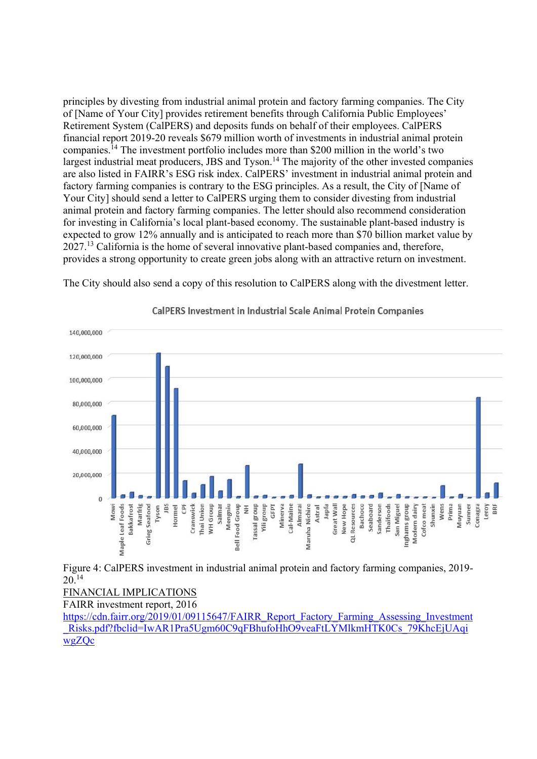principles by divesting from industrial animal protein and factory farming companies. The City of [Name of Your City] provides retirement benefits through California Public Employees' Retirement System (CalPERS) and deposits funds on behalf of their employees. CalPERS financial report 2019-20 reveals \$679 million worth of investments in industrial animal protein companies.14 The investment portfolio includes more than \$200 million in the world's two largest industrial meat producers, JBS and Tyson.<sup>14</sup> The majority of the other invested companies are also listed in FAIRR's ESG risk index. CalPERS' investment in industrial animal protein and factory farming companies is contrary to the ESG principles. As a result, the City of [Name of Your City] should send a letter to CalPERS urging them to consider divesting from industrial animal protein and factory farming companies. The letter should also recommend consideration for investing in California's local plant-based economy. The sustainable plant-based industry is expected to grow 12% annually and is anticipated to reach more than \$70 billion market value by 2027.13 California is the home of several innovative plant-based companies and, therefore, provides a strong opportunity to create green jobs along with an attractive return on investment.

The City should also send a copy of this resolution to CalPERS along with the divestment letter.



CalPERS Investment in Industrial Scale Animal Protein Companies

 $20^{14}$ 

FINANCIAL IMPLICATIONS

FAIRR investment report, 2016

https://cdn.fairr.org/2019/01/09115647/FAIRR\_Report\_Factory\_Farming\_Assessing\_Investment Risks.pdf?fbclid=IwAR1Pra5Ugm60C9qFBhufoHhO9veaFtLYMlkmHTK0Cs\_79KhcEjUAqi wgZQc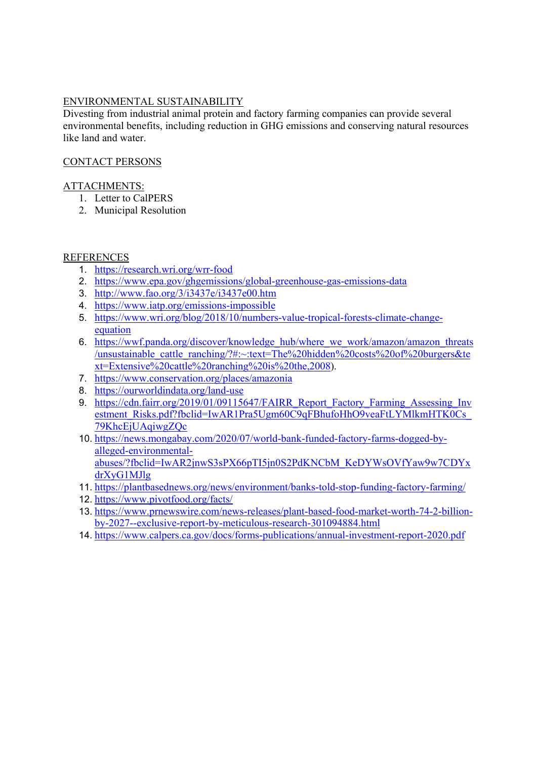## ENVIRONMENTAL SUSTAINABILITY

Divesting from industrial animal protein and factory farming companies can provide several environmental benefits, including reduction in GHG emissions and conserving natural resources like land and water.

# CONTACT PERSONS

### ATTACHMENTS:

- 1. Letter to CalPERS
- 2. Municipal Resolution

## REFERENCES

- 1. https://research.wri.org/wrr-food
- 2. https://www.epa.gov/ghgemissions/global-greenhouse-gas-emissions-data
- 3. http://www.fao.org/3/i3437e/i3437e00.htm
- 4. https://www.iatp.org/emissions-impossible
- 5. https://www.wri.org/blog/2018/10/numbers-value-tropical-forests-climate-changeequation
- 6. https://wwf.panda.org/discover/knowledge\_hub/where\_we\_work/amazon/amazon\_threats /unsustainable\_cattle\_ranching/?#:~:text=The%20hidden%20costs%20of%20burgers&te xt=Extensive%20cattle%20ranching%20is%20the,2008).
- 7. https://www.conservation.org/places/amazonia
- 8. https://ourworldindata.org/land-use
- 9. https://cdn.fairr.org/2019/01/09115647/FAIRR\_Report\_Factory\_Farming\_Assessing\_Inv estment\_Risks.pdf?fbclid=IwAR1Pra5Ugm60C9qFBhufoHhO9veaFtLYMlkmHTK0Cs 79KhcEjUAqiwgZQc
- 10. https://news.mongabay.com/2020/07/world-bank-funded-factory-farms-dogged-byalleged-environmentalabuses/?fbclid=IwAR2jnwS3sPX66pTI5jn0S2PdKNCbM\_KeDYWsOVfYaw9w7CDYx drXyG1MJlg
- 11. https://plantbasednews.org/news/environment/banks-told-stop-funding-factory-farming/
- 12. https://www.pivotfood.org/facts/
- 13. https://www.prnewswire.com/news-releases/plant-based-food-market-worth-74-2-billionby-2027--exclusive-report-by-meticulous-research-301094884.html
- 14. https://www.calpers.ca.gov/docs/forms-publications/annual-investment-report-2020.pdf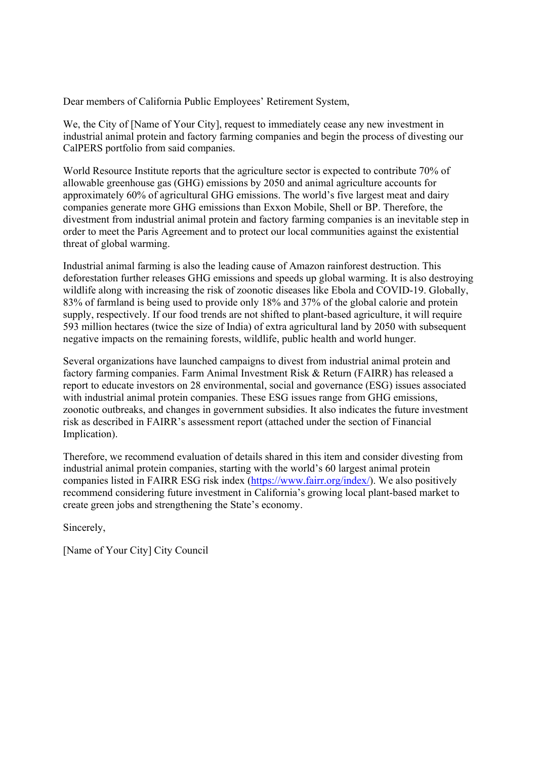Dear members of California Public Employees' Retirement System,

We, the City of [Name of Your City], request to immediately cease any new investment in industrial animal protein and factory farming companies and begin the process of divesting our CalPERS portfolio from said companies.

World Resource Institute reports that the agriculture sector is expected to contribute 70% of allowable greenhouse gas (GHG) emissions by 2050 and animal agriculture accounts for approximately 60% of agricultural GHG emissions. The world's five largest meat and dairy companies generate more GHG emissions than Exxon Mobile, Shell or BP. Therefore, the divestment from industrial animal protein and factory farming companies is an inevitable step in order to meet the Paris Agreement and to protect our local communities against the existential threat of global warming.

Industrial animal farming is also the leading cause of Amazon rainforest destruction. This deforestation further releases GHG emissions and speeds up global warming. It is also destroying wildlife along with increasing the risk of zoonotic diseases like Ebola and COVID-19. Globally, 83% of farmland is being used to provide only 18% and 37% of the global calorie and protein supply, respectively. If our food trends are not shifted to plant-based agriculture, it will require 593 million hectares (twice the size of India) of extra agricultural land by 2050 with subsequent negative impacts on the remaining forests, wildlife, public health and world hunger.

Several organizations have launched campaigns to divest from industrial animal protein and factory farming companies. Farm Animal Investment Risk & Return (FAIRR) has released a report to educate investors on 28 environmental, social and governance (ESG) issues associated with industrial animal protein companies. These ESG issues range from GHG emissions, zoonotic outbreaks, and changes in government subsidies. It also indicates the future investment risk as described in FAIRR's assessment report (attached under the section of Financial Implication).

Therefore, we recommend evaluation of details shared in this item and consider divesting from industrial animal protein companies, starting with the world's 60 largest animal protein companies listed in FAIRR ESG risk index (https://www.fairr.org/index/). We also positively recommend considering future investment in California's growing local plant-based market to create green jobs and strengthening the State's economy.

Sincerely,

[Name of Your City] City Council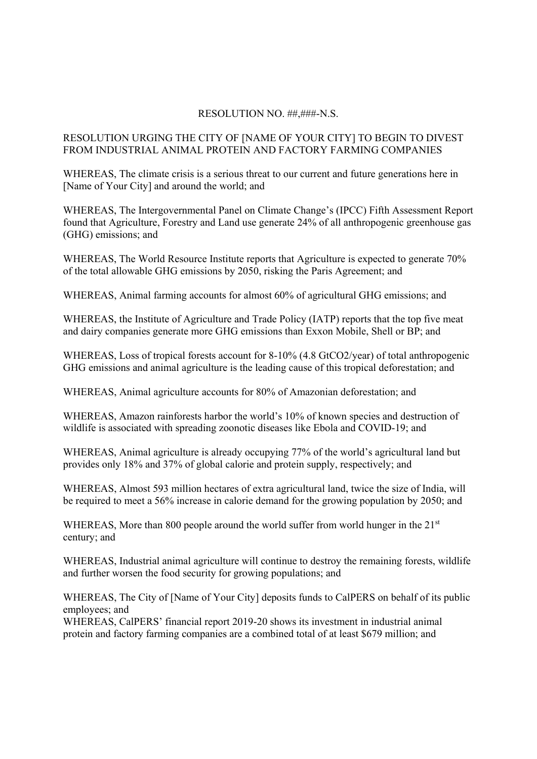### RESOLUTION NO. ##,###-N.S.

# RESOLUTION URGING THE CITY OF [NAME OF YOUR CITY] TO BEGIN TO DIVEST FROM INDUSTRIAL ANIMAL PROTEIN AND FACTORY FARMING COMPANIES

WHEREAS, The climate crisis is a serious threat to our current and future generations here in [Name of Your City] and around the world; and

WHEREAS, The Intergovernmental Panel on Climate Change's (IPCC) Fifth Assessment Report found that Agriculture, Forestry and Land use generate 24% of all anthropogenic greenhouse gas (GHG) emissions; and

WHEREAS, The World Resource Institute reports that Agriculture is expected to generate 70% of the total allowable GHG emissions by 2050, risking the Paris Agreement; and

WHEREAS, Animal farming accounts for almost 60% of agricultural GHG emissions; and

WHEREAS, the Institute of Agriculture and Trade Policy (IATP) reports that the top five meat and dairy companies generate more GHG emissions than Exxon Mobile, Shell or BP; and

WHEREAS, Loss of tropical forests account for 8-10% (4.8 GtCO2/year) of total anthropogenic GHG emissions and animal agriculture is the leading cause of this tropical deforestation; and

WHEREAS, Animal agriculture accounts for 80% of Amazonian deforestation; and

WHEREAS, Amazon rainforests harbor the world's 10% of known species and destruction of wildlife is associated with spreading zoonotic diseases like Ebola and COVID-19; and

WHEREAS, Animal agriculture is already occupying 77% of the world's agricultural land but provides only 18% and 37% of global calorie and protein supply, respectively; and

WHEREAS, Almost 593 million hectares of extra agricultural land, twice the size of India, will be required to meet a 56% increase in calorie demand for the growing population by 2050; and

WHEREAS, More than 800 people around the world suffer from world hunger in the 21<sup>st</sup> century; and

WHEREAS, Industrial animal agriculture will continue to destroy the remaining forests, wildlife and further worsen the food security for growing populations; and

WHEREAS, The City of [Name of Your City] deposits funds to CalPERS on behalf of its public employees; and

WHEREAS, CalPERS' financial report 2019-20 shows its investment in industrial animal protein and factory farming companies are a combined total of at least \$679 million; and